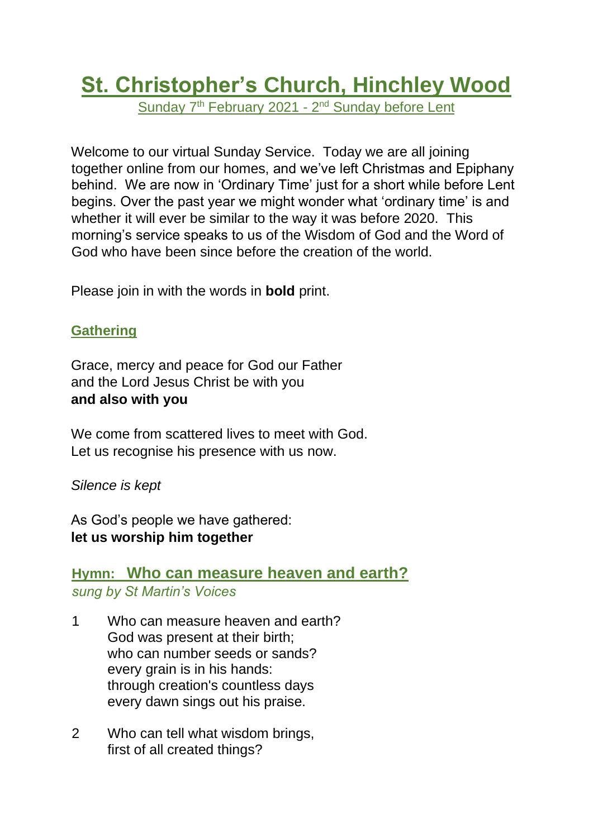# **St. Christopher's Church, Hinchley Wood**

Sunday 7<sup>th</sup> February 2021 - 2<sup>nd</sup> Sunday before Lent

Welcome to our virtual Sunday Service. Today we are all joining together online from our homes, and we've left Christmas and Epiphany behind. We are now in 'Ordinary Time' just for a short while before Lent begins. Over the past year we might wonder what 'ordinary time' is and whether it will ever be similar to the way it was before 2020. This morning's service speaks to us of the Wisdom of God and the Word of God who have been since before the creation of the world.

Please join in with the words in **bold** print.

# **Gathering**

Grace, mercy and peace for God our Father and the Lord Jesus Christ be with you **and also with you**

We come from scattered lives to meet with God. Let us recognise his presence with us now.

*Silence is kept*

As God's people we have gathered: **let us worship him together**

# **Hymn: Who can measure heaven and earth?** *sung by St Martin's Voices*

- 1 Who can measure heaven and earth? God was present at their birth; who can number seeds or sands? every grain is in his hands: through creation's countless days every dawn sings out his praise.
- 2 Who can tell what wisdom brings, first of all created things?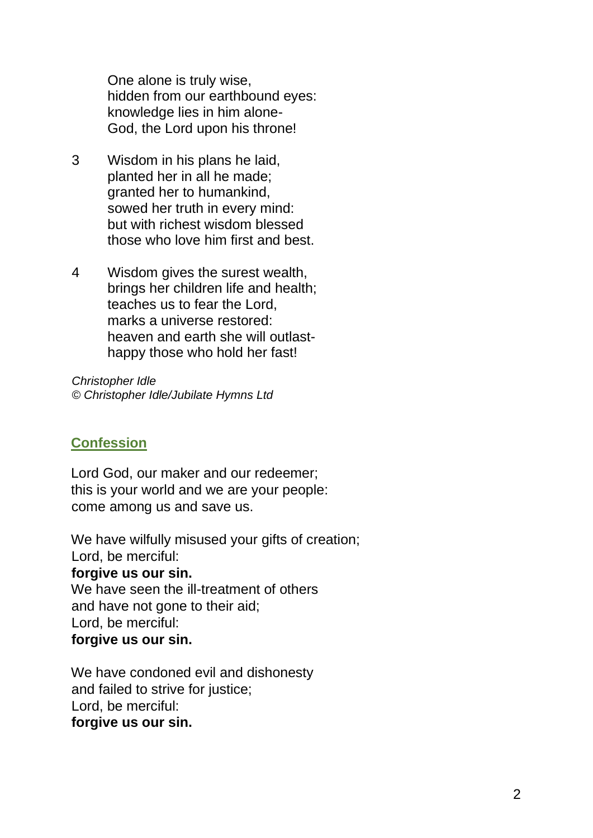One alone is truly wise, hidden from our earthbound eyes: knowledge lies in him alone-God, the Lord upon his throne!

- 3 Wisdom in his plans he laid, planted her in all he made; granted her to humankind, sowed her truth in every mind: but with richest wisdom blessed those who love him first and best.
- 4 Wisdom gives the surest wealth, brings her children life and health; teaches us to fear the Lord, marks a universe restored: heaven and earth she will outlasthappy those who hold her fast!

*Christopher Idle © Christopher Idle/Jubilate Hymns Ltd*

#### **Confession**

Lord God, our maker and our redeemer; this is your world and we are your people: come among us and save us.

We have wilfully misused your gifts of creation; Lord, be merciful: **forgive us our sin.** We have seen the ill-treatment of others and have not gone to their aid; Lord, be merciful: **forgive us our sin.**

We have condoned evil and dishonesty and failed to strive for justice; Lord, be merciful: **forgive us our sin.**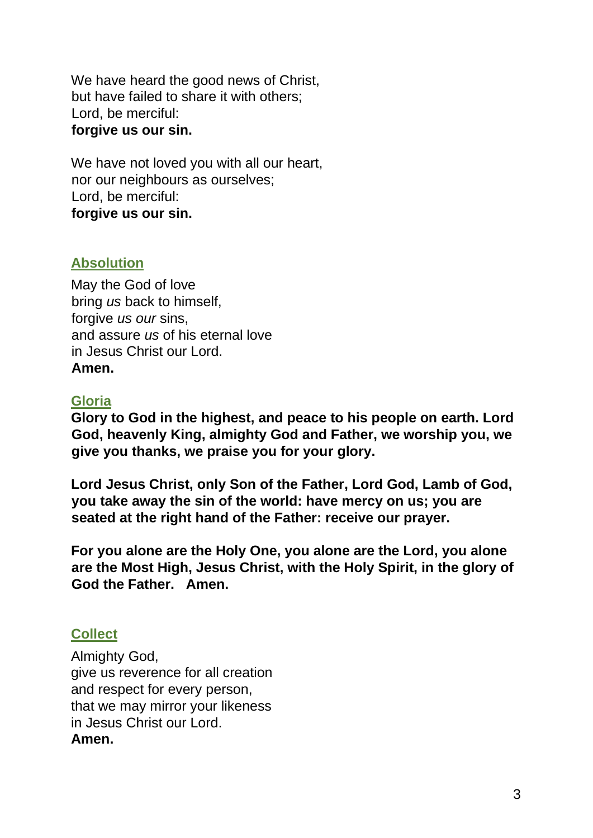We have heard the good news of Christ, but have failed to share it with others; Lord, be merciful: **forgive us our sin.**

We have not loved you with all our heart, nor our neighbours as ourselves; Lord, be merciful: **forgive us our sin.**

### **Absolution**

May the God of love bring *us* back to himself, forgive *us our* sins, and assure *us* of his eternal love in Jesus Christ our Lord. **Amen.**

#### **Gloria**

**Glory to God in the highest, and peace to his people on earth. Lord God, heavenly King, almighty God and Father, we worship you, we give you thanks, we praise you for your glory.** 

**Lord Jesus Christ, only Son of the Father, Lord God, Lamb of God, you take away the sin of the world: have mercy on us; you are seated at the right hand of the Father: receive our prayer.** 

**For you alone are the Holy One, you alone are the Lord, you alone are the Most High, Jesus Christ, with the Holy Spirit, in the glory of God the Father. Amen.** 

# **Collect**

Almighty God, give us reverence for all creation and respect for every person, that we may mirror your likeness in Jesus Christ our Lord. **Amen.**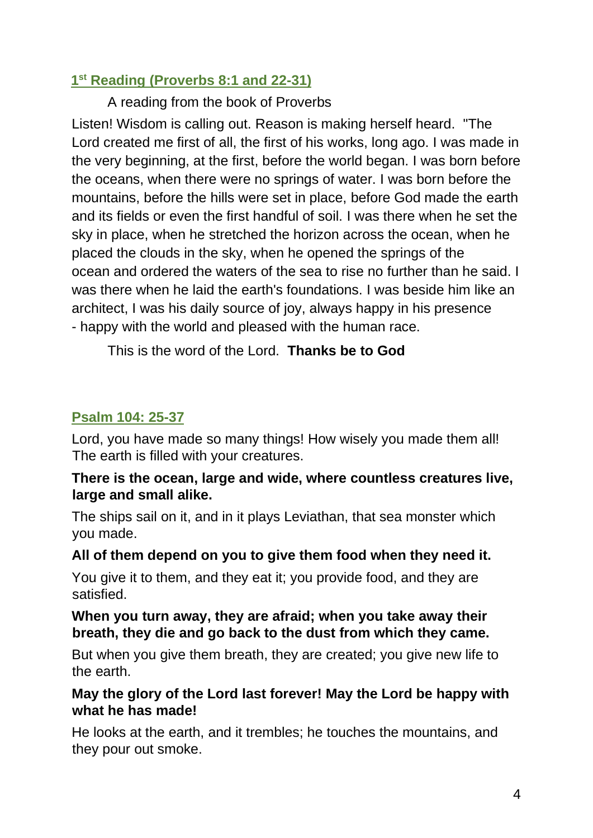# **1 st Reading (Proverbs 8:1 and 22-31)**

A reading from the book of Proverbs

Listen! Wisdom is calling out. Reason is making herself heard. "The Lord created me first of all, the first of his works, long ago. I was made in the very beginning, at the first, before the world began. I was born before the oceans, when there were no springs of water. I was born before the mountains, before the hills were set in place, before God made the earth and its fields or even the first handful of soil. I was there when he set the sky in place, when he stretched the horizon across the ocean, when he placed the clouds in the sky, when he opened the springs of the ocean and ordered the waters of the sea to rise no further than he said. I was there when he laid the earth's foundations. I was beside him like an architect, I was his daily source of joy, always happy in his presence - happy with the world and pleased with the human race.

This is the word of the Lord. **Thanks be to God**

# **Psalm 104: 25-37**

Lord, you have made so many things! How wisely you made them all! The earth is filled with your creatures.

### **There is the ocean, large and wide, where countless creatures live, large and small alike.**

The ships sail on it, and in it plays Leviathan, that sea monster which you made.

# **All of them depend on you to give them food when they need it.**

You give it to them, and they eat it; you provide food, and they are satisfied.

# **When you turn away, they are afraid; when you take away their breath, they die and go back to the dust from which they came.**

But when you give them breath, they are created; you give new life to the earth.

# **May the glory of the Lord last forever! May the Lord be happy with what he has made!**

He looks at the earth, and it trembles; he touches the mountains, and they pour out smoke.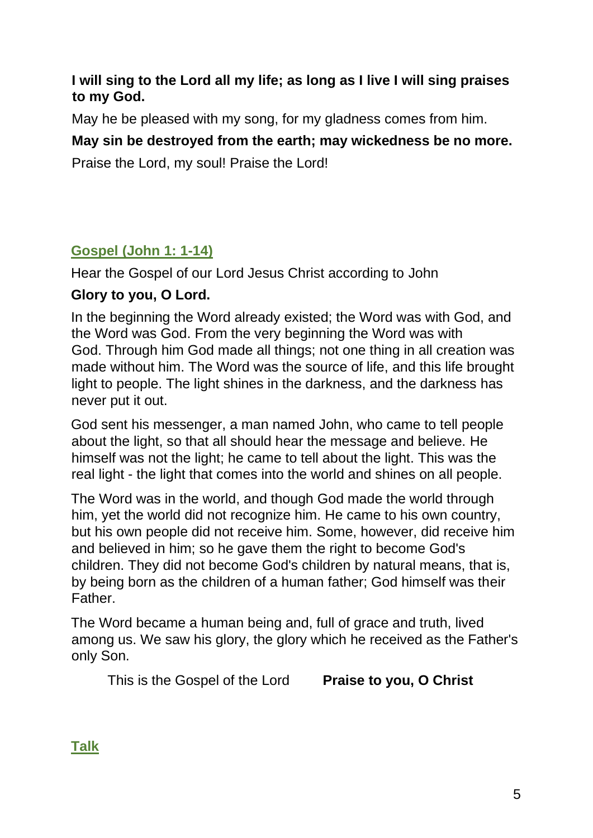# **I will sing to the Lord all my life; as long as I live I will sing praises to my God.**

May he be pleased with my song, for my gladness comes from him.

# **May sin be destroyed from the earth; may wickedness be no more.**

Praise the Lord, my soul! Praise the Lord!

# **Gospel (John 1: 1-14)**

Hear the Gospel of our Lord Jesus Christ according to John

# **Glory to you, O Lord.**

In the beginning the Word already existed; the Word was with God, and the Word was God. From the very beginning the Word was with God. Through him God made all things; not one thing in all creation was made without him. The Word was the source of life, and this life brought light to people. The light shines in the darkness, and the darkness has never put it out.

God sent his messenger, a man named John, who came to tell people about the light, so that all should hear the message and believe. He himself was not the light; he came to tell about the light. This was the real light - the light that comes into the world and shines on all people.

The Word was in the world, and though God made the world through him, yet the world did not recognize him. He came to his own country, but his own people did not receive him. Some, however, did receive him and believed in him; so he gave them the right to become God's children. They did not become God's children by natural means, that is, by being born as the children of a human father; God himself was their Father.

The Word became a human being and, full of grace and truth, lived among us. We saw his glory, the glory which he received as the Father's only Son.

This is the Gospel of the Lord **Praise to you, O Christ** 

**Talk**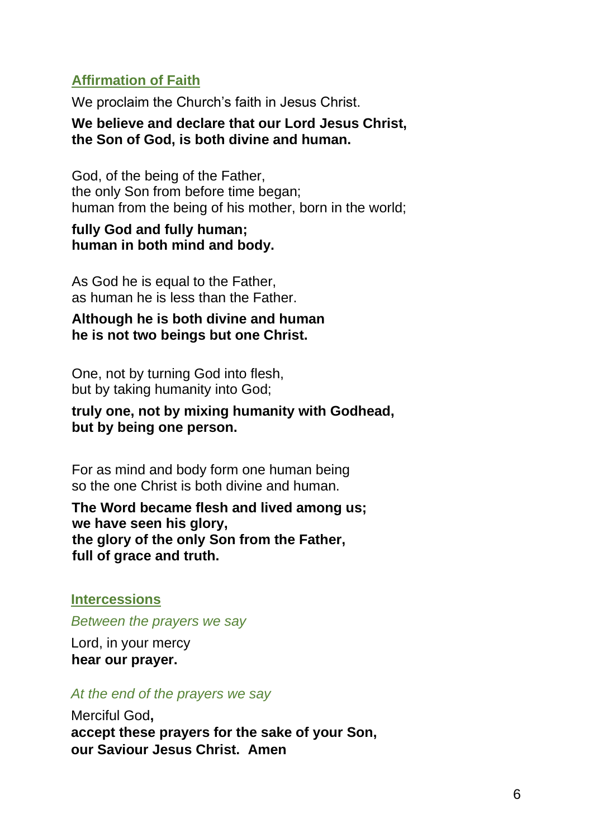### **Affirmation of Faith**

We proclaim the Church's faith in Jesus Christ.

#### **We believe and declare that our Lord Jesus Christ, the Son of God, is both divine and human.**

God, of the being of the Father, the only Son from before time began: human from the being of his mother, born in the world;

#### **fully God and fully human; human in both mind and body.**

As God he is equal to the Father, as human he is less than the Father.

#### **Although he is both divine and human he is not two beings but one Christ.**

One, not by turning God into flesh, but by taking humanity into God;

#### **truly one, not by mixing humanity with Godhead, but by being one person.**

For as mind and body form one human being so the one Christ is both divine and human.

**The Word became flesh and lived among us; we have seen his glory, the glory of the only Son from the Father, full of grace and truth.**

#### **Intercessions**

*Between the prayers we say* 

Lord, in your mercy **hear our prayer.**

#### *At the end of the prayers we say*

Merciful God**, accept these prayers for the sake of your Son, our Saviour Jesus Christ. Amen**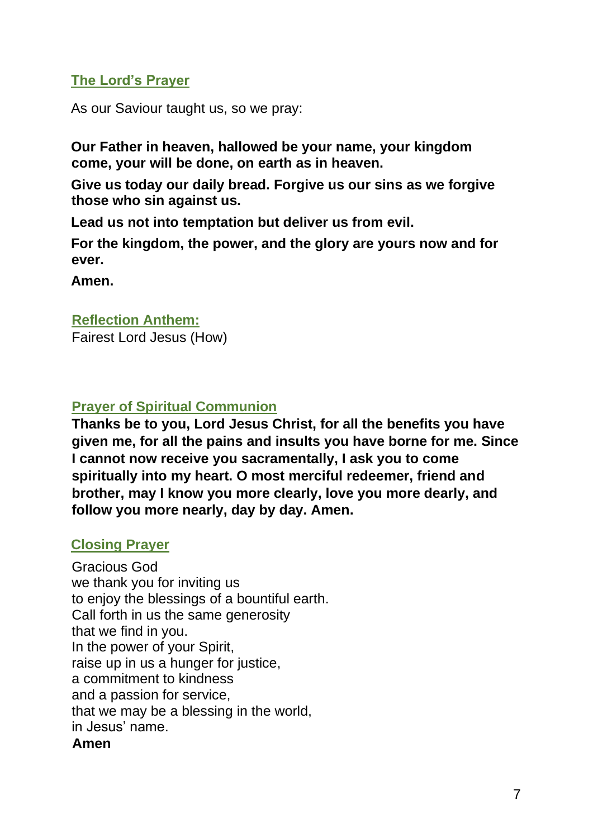# **The Lord's Prayer**

As our Saviour taught us, so we pray:

**Our Father in heaven, hallowed be your name, your kingdom come, your will be done, on earth as in heaven.**

**Give us today our daily bread. Forgive us our sins as we forgive those who sin against us.**

**Lead us not into temptation but deliver us from evil.**

**For the kingdom, the power, and the glory are yours now and for ever.**

**Amen.** 

#### **Reflection Anthem:**

Fairest Lord Jesus (How)

### **Prayer of Spiritual Communion**

**Thanks be to you, Lord Jesus Christ, for all the benefits you have given me, for all the pains and insults you have borne for me. Since I cannot now receive you sacramentally, I ask you to come spiritually into my heart. O most merciful redeemer, friend and brother, may I know you more clearly, love you more dearly, and follow you more nearly, day by day. Amen.** 

#### **Closing Prayer**

Gracious God we thank you for inviting us to enjoy the blessings of a bountiful earth. Call forth in us the same generosity that we find in you. In the power of your Spirit, raise up in us a hunger for justice, a commitment to kindness and a passion for service, that we may be a blessing in the world, in Jesus' name. **Amen**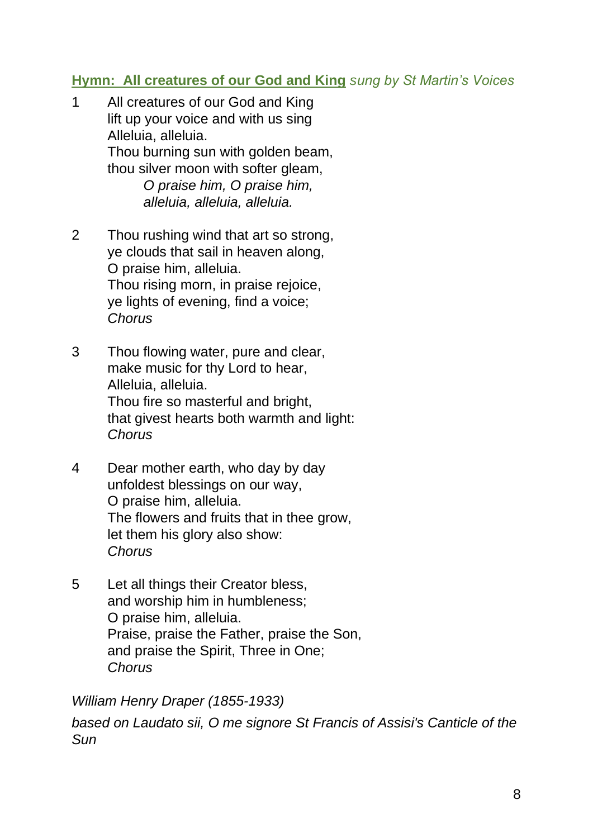# **Hymn: All creatures of our God and King** *sung by St Martin's Voices*

- 1 All creatures of our God and King lift up your voice and with us sing Alleluia, alleluia. Thou burning sun with golden beam, thou silver moon with softer gleam. *O praise him, O praise him, alleluia, alleluia, alleluia.*
- 2 Thou rushing wind that art so strong, ye clouds that sail in heaven along, O praise him, alleluia. Thou rising morn, in praise rejoice, ye lights of evening, find a voice; *Chorus*
- 3 Thou flowing water, pure and clear, make music for thy Lord to hear, Alleluia, alleluia. Thou fire so masterful and bright, that givest hearts both warmth and light: *Chorus*
- 4 Dear mother earth, who day by day unfoldest blessings on our way, O praise him, alleluia. The flowers and fruits that in thee grow, let them his glory also show: *Chorus*
- 5 Let all things their Creator bless, and worship him in humbleness; O praise him, alleluia. Praise, praise the Father, praise the Son, and praise the Spirit, Three in One; *Chorus*

*William Henry Draper (1855-1933)* 

*based on Laudato sii, O me signore St Francis of Assisi's Canticle of the Sun*